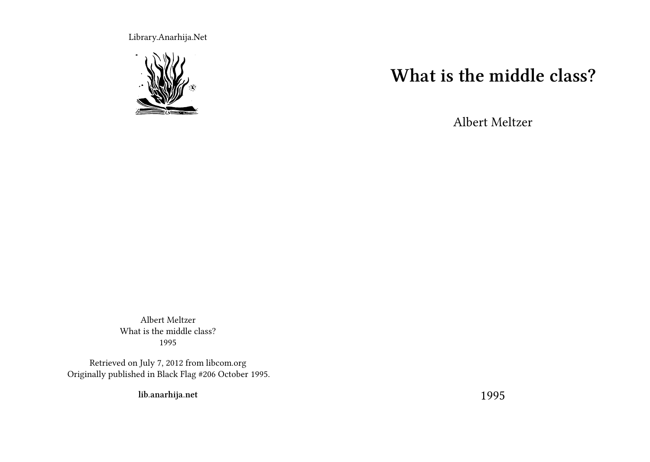Library.Anarhija.Net



## **What is the middle class?**

Albert Meltzer

Albert Meltzer What is the middle class? 1995

Retrieved on July 7, 2012 from libcom.org Originally published in Black Flag #206 October 1995.

**lib.anarhija.net**

1995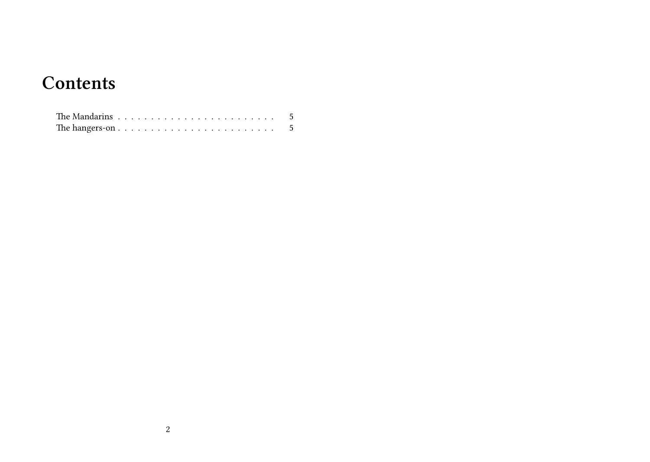## **Contents**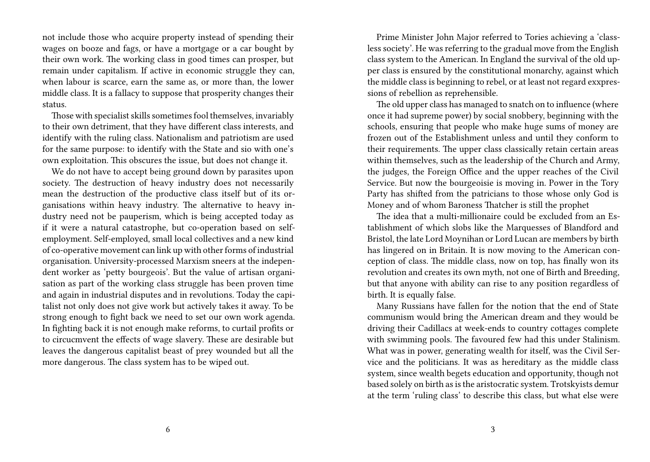not include those who acquire property instead of spending their wages on booze and fags, or have a mortgage or a car bought by their own work. The working class in good times can prosper, but remain under capitalism. If active in economic struggle they can, when labour is scarce, earn the same as, or more than, the lower middle class. It is a fallacy to suppose that prosperity changes their status.

Those with specialist skills sometimes fool themselves, invariably to their own detriment, that they have different class interests, and identify with the ruling class. Nationalism and patriotism are used for the same purpose: to identify with the State and sio with one's own exploitation. This obscures the issue, but does not change it.

We do not have to accept being ground down by parasites upon society. The destruction of heavy industry does not necessarily mean the destruction of the productive class itself but of its organisations within heavy industry. The alternative to heavy industry need not be pauperism, which is being accepted today as if it were a natural catastrophe, but co-operation based on selfemployment. Self-employed, small local collectives and a new kind of co-operative movement can link up with other forms of industrial organisation. University-processed Marxism sneers at the independent worker as 'petty bourgeois'. But the value of artisan organisation as part of the working class struggle has been proven time and again in industrial disputes and in revolutions. Today the capitalist not only does not give work but actively takes it away. To be strong enough to fight back we need to set our own work agenda. In fighting back it is not enough make reforms, to curtail profits or to circucmvent the effects of wage slavery. These are desirable but leaves the dangerous capitalist beast of prey wounded but all the more dangerous. The class system has to be wiped out.

Prime Minister John Major referred to Tories achieving a 'classless society'. He was referring to the gradual move from the English class system to the American. In England the survival of the old upper class is ensured by the constitutional monarchy, against which the middle class is beginning to rebel, or at least not regard exxpressions of rebellion as reprehensible.

The old upper class has managed to snatch on to influence (where once it had supreme power) by social snobbery, beginning with the schools, ensuring that people who make huge sums of money are frozen out of the Establishment unless and until they conform to their requirements. The upper class classically retain certain areas within themselves, such as the leadership of the Church and Army, the judges, the Foreign Office and the upper reaches of the Civil Service. But now the bourgeoisie is moving in. Power in the Tory Party has shifted from the patricians to those whose only God is Money and of whom Baroness Thatcher is still the prophet

The idea that a multi-millionaire could be excluded from an Establishment of which slobs like the Marquesses of Blandford and Bristol, the late Lord Moynihan or Lord Lucan are members by birth has lingered on in Britain. It is now moving to the American conception of class. The middle class, now on top, has finally won its revolution and creates its own myth, not one of Birth and Breeding, but that anyone with ability can rise to any position regardless of birth. It is equally false.

Many Russians have fallen for the notion that the end of State communism would bring the American dream and they would be driving their Cadillacs at week-ends to country cottages complete with swimming pools. The favoured few had this under Stalinism. What was in power, generating wealth for itself, was the Civil Service and the politicians. It was as hereditary as the middle class system, since wealth begets education and opportunity, though not based solely on birth as is the aristocratic system. Trotskyists demur at the term 'ruling class' to describe this class, but what else were